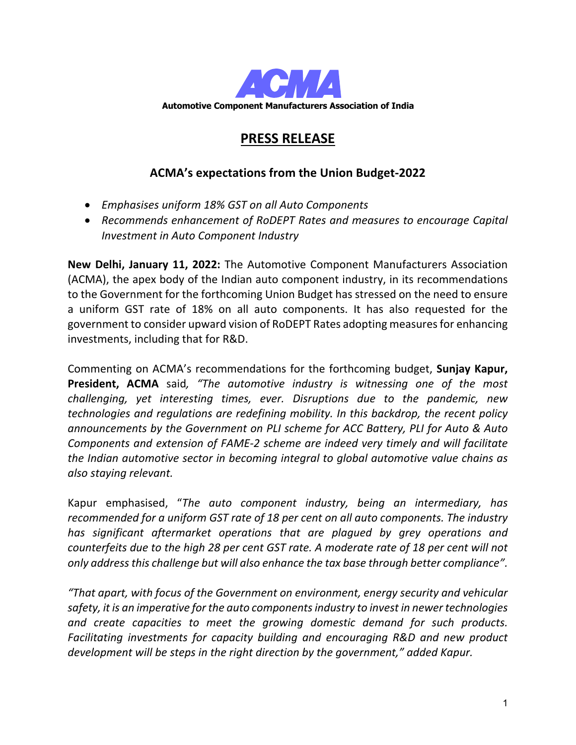

# **PRESS RELEASE**

## **ACMA's expectations from the Union Budget-2022**

- *Emphasises uniform 18% GST on all Auto Components*
- *Recommends enhancement of RoDEPT Rates and measures to encourage Capital Investment in Auto Component Industry*

**New Delhi, January 11, 2022:** The Automotive Component Manufacturers Association (ACMA), the apex body of the Indian auto component industry, in its recommendations to the Government for the forthcoming Union Budget has stressed on the need to ensure a uniform GST rate of 18% on all auto components. It has also requested for the government to consider upward vision of RoDEPT Rates adopting measures for enhancing investments, including that for R&D.

Commenting on ACMA's recommendations for the forthcoming budget, **Sunjay Kapur, President, ACMA** said*, "The automotive industry is witnessing one of the most challenging, yet interesting times, ever. Disruptions due to the pandemic, new technologies and regulations are redefining mobility. In this backdrop, the recent policy announcements by the Government on PLI scheme for ACC Battery, PLI for Auto & Auto Components and extension of FAME-2 scheme are indeed very timely and will facilitate the Indian automotive sector in becoming integral to global automotive value chains as also staying relevant.*

Kapur emphasised, "*The auto component industry, being an intermediary, has recommended for a uniform GST rate of 18 per cent on all auto components. The industry has significant aftermarket operations that are plagued by grey operations and counterfeits due to the high 28 per cent GST rate. A moderate rate of 18 per cent will not only address this challenge but will also enhance the tax base through better compliance".*

*"That apart, with focus of the Government on environment, energy security and vehicular safety, it is an imperative for the auto components industry to invest in newer technologies and create capacities to meet the growing domestic demand for such products. Facilitating investments for capacity building and encouraging R&D and new product development will be steps in the right direction by the government," added Kapur.*